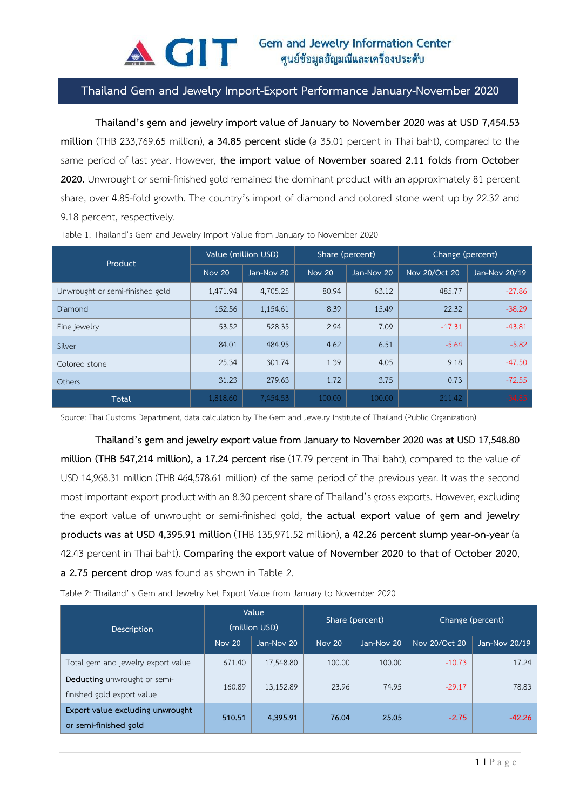

## **Thailand Gem and Jewelry Import-Export Performance January-November 2020**

**Thailand's gem and jewelry import value of January to November 2020 was at USD 7,454.53 million** (THB 233,769.65 million), **a 34.85 percent slide** (a 35.01 percent in Thai baht), compared to the same period of last year. However, **the import value of November soared 2.11 folds from October 2020.** Unwrought or semi-finished gold remained the dominant product with an approximately 81 percent share, over 4.85-fold growth. The country's import of diamond and colored stone went up by 22.32 and 9.18 percent, respectively.

| Product                         | Value (million USD) |            | Share (percent) |            | Change (percent) |               |
|---------------------------------|---------------------|------------|-----------------|------------|------------------|---------------|
|                                 | Nov 20              | Jan-Nov 20 | <b>Nov 20</b>   | Jan-Nov 20 | Nov 20/Oct 20    | Jan-Nov 20/19 |
| Unwrought or semi-finished gold | 1,471.94            | 4,705.25   | 80.94           | 63.12      | 485.77           | $-27.86$      |
| Diamond                         | 152.56              | 1,154.61   | 8.39            | 15.49      | 22.32            | $-38.29$      |
| Fine jewelry                    | 53.52               | 528.35     | 2.94            | 7.09       | $-17.31$         | $-43.81$      |
| Silver                          | 84.01               | 484.95     | 4.62            | 6.51       | $-5.64$          | $-5.82$       |
| Colored stone                   | 25.34               | 301.74     | 1.39            | 4.05       | 9.18             | $-47.50$      |
| Others                          | 31.23               | 279.63     | 1.72            | 3.75       | 0.73             | $-72.55$      |
| Total                           | 1,818.60            | 7,454.53   | 100.00          | 100.00     | 211.42           | $-34.85$      |

Table 1: Thailand's Gem and Jewelry Import Value from January to November 2020

Source: Thai Customs Department, data calculation by The Gem and Jewelry Institute of Thailand (Public Organization)

**Thailand's gem and jewelry export value from January to November 2020 was at USD 17,548.80 million (THB 547,214 million), a 17.24 percent rise** (17.79 percent in Thai baht), compared to the value of USD 14,968.31 million (THB 464,578.61 million) of the same period of the previous year. It was the second most important export product with an 8.30 percent share of Thailand's gross exports. However, excluding the export value of unwrought or semi-finished gold, **the actual export value of gem and jewelry products was at USD 4,395.91 million** (THB 135,971.52 million), **a 42.26 percent slump year-on-year** (a 42.43 percent in Thai baht). **Comparing the export value of November 2020 to that of October 2020**, **a 2.75 percent drop** was found as shown in Table 2.

Table 2: Thailand' s Gem and Jewelry Net Export Value from January to November 2020

| Description                                                | Value<br>(million USD) |            | Share (percent) |            | Change (percent) |               |
|------------------------------------------------------------|------------------------|------------|-----------------|------------|------------------|---------------|
|                                                            | <b>Nov 20</b>          | Jan-Nov 20 | <b>Nov 20</b>   | Jan-Nov 20 | Nov 20/Oct 20    | Jan-Nov 20/19 |
| Total gem and jewelry export value                         | 671.40                 | 17,548.80  | 100.00          | 100.00     | $-10.73$         | 17.24         |
| Deducting unwrought or semi-<br>finished gold export value | 160.89                 | 13,152.89  | 23.96           | 74.95      | $-29.17$         | 78.83         |
| Export value excluding unwrought<br>or semi-finished gold  | 510.51                 | 4,395.91   | 76.04           | 25.05      | $-2.75$          | $-42.26$      |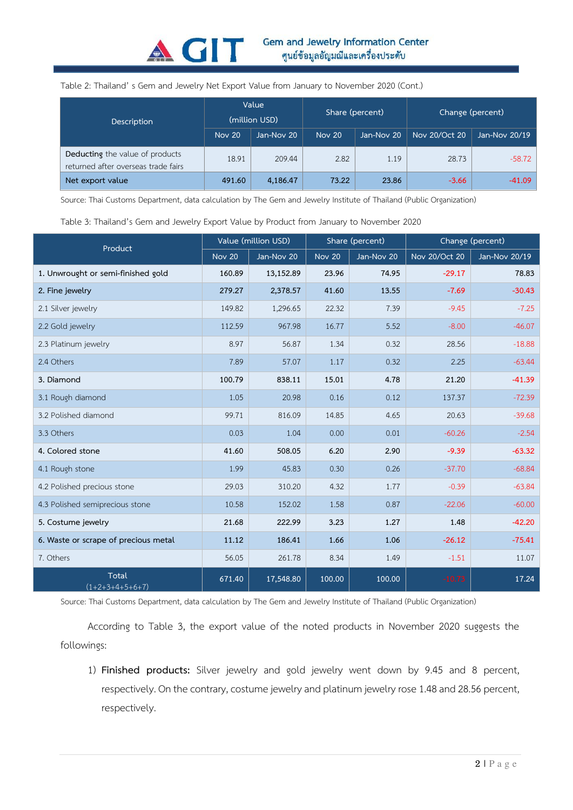

## Table 2: Thailand' s Gem and Jewelry Net Export Value from January to November 2020 (Cont.)

| <b>Description</b>                                                     | Value<br>(million USD) |            | Share (percent) |            | Change (percent) |               |
|------------------------------------------------------------------------|------------------------|------------|-----------------|------------|------------------|---------------|
|                                                                        | Nov 20                 | Jan-Nov 20 | Nov 20          | Jan-Nov 20 | Nov 20/Oct 20    | Jan-Nov 20/19 |
| Deducting the value of products<br>returned after overseas trade fairs | 18.91                  | 209.44     | 2.82            | 1.19       | 28.73            | $-58.72$      |
| Net export value                                                       | 491.60                 | 4,186.47   | 73.22           | 23.86      | $-3.66$          | $-41.09$      |

Source: Thai Customs Department, data calculation by The Gem and Jewelry Institute of Thailand (Public Organization)

## Table 3: Thailand's Gem and Jewelry Export Value by Product from January to November 2020

| Product                              | Value (million USD) |            | Share (percent)            |            | Change (percent) |               |
|--------------------------------------|---------------------|------------|----------------------------|------------|------------------|---------------|
|                                      | <b>Nov 20</b>       | Jan-Nov 20 | $\overline{\text{Nov}}$ 20 | Jan-Nov 20 | Nov 20/Oct 20    | Jan-Nov 20/19 |
| 1. Unwrought or semi-finished gold   | 160.89              | 13,152.89  | 23.96                      | 74.95      | $-29.17$         | 78.83         |
| 2. Fine jewelry                      | 279.27              | 2,378.57   | 41.60                      | 13.55      | $-7.69$          | $-30.43$      |
| 2.1 Silver jewelry                   | 149.82              | 1,296.65   | 22.32                      | 7.39       | $-9.45$          | $-7.25$       |
| 2.2 Gold jewelry                     | 112.59              | 967.98     | 16.77                      | 5.52       | $-8.00$          | $-46.07$      |
| 2.3 Platinum jewelry                 | 8.97                | 56.87      | 1.34                       | 0.32       | 28.56            | $-18.88$      |
| 2.4 Others                           | 7.89                | 57.07      | 1.17                       | 0.32       | 2.25             | $-63.44$      |
| 3. Diamond                           | 100.79              | 838.11     | 15.01                      | 4.78       | 21.20            | $-41.39$      |
| 3.1 Rough diamond                    | 1.05                | 20.98      | 0.16                       | 0.12       | 137.37           | $-72.39$      |
| 3.2 Polished diamond                 | 99.71               | 816.09     | 14.85                      | 4.65       | 20.63            | $-39.68$      |
| 3.3 Others                           | 0.03                | 1.04       | 0.00                       | 0.01       | $-60.26$         | $-2.54$       |
| 4. Colored stone                     | 41.60               | 508.05     | 6.20                       | 2.90       | $-9.39$          | $-63.32$      |
| 4.1 Rough stone                      | 1.99                | 45.83      | 0.30                       | 0.26       | $-37.70$         | $-68.84$      |
| 4.2 Polished precious stone          | 29.03               | 310.20     | 4.32                       | 1.77       | $-0.39$          | $-63.84$      |
| 4.3 Polished semiprecious stone      | 10.58               | 152.02     | 1.58                       | 0.87       | $-22.06$         | $-60.00$      |
| 5. Costume jewelry                   | 21.68               | 222.99     | 3.23                       | 1.27       | 1.48             | $-42.20$      |
| 6. Waste or scrape of precious metal | 11.12               | 186.41     | 1.66                       | 1.06       | $-26.12$         | $-75.41$      |
| 7. Others                            | 56.05               | 261.78     | 8.34                       | 1.49       | $-1.51$          | 11.07         |
| Total<br>$(1+2+3+4+5+6+7)$           | 671.40              | 17,548.80  | 100.00                     | 100.00     | $-10.73$         | 17.24         |

Source: Thai Customs Department, data calculation by The Gem and Jewelry Institute of Thailand (Public Organization)

According to Table 3, the export value of the noted products in November 2020 suggests the followings:

1) **Finished products:** Silver jewelry and gold jewelry went down by 9.45 and 8 percent, respectively. On the contrary, costume jewelry and platinum jewelry rose 1.48 and 28.56 percent, respectively.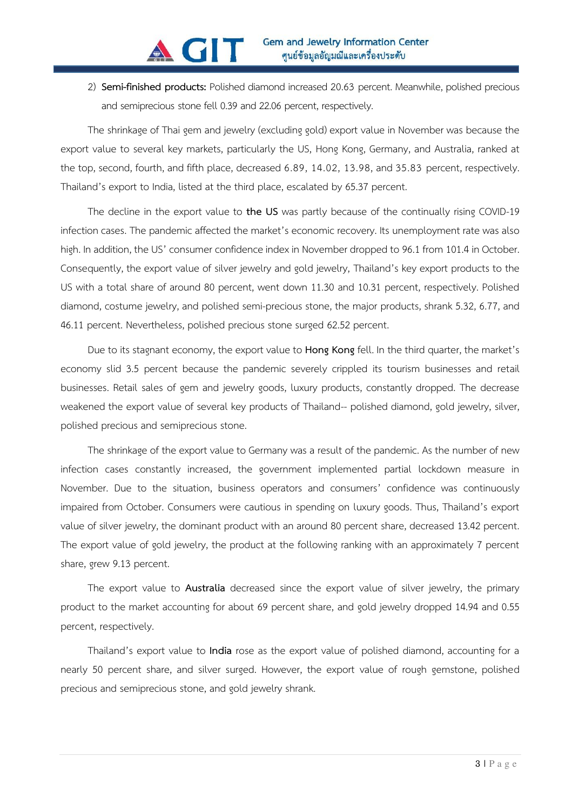2) **Semi-finished products:** Polished diamond increased 20.63 percent. Meanwhile, polished precious and semiprecious stone fell 0.39 and 22.06 percent, respectively.

The shrinkage of Thai gem and jewelry (excluding gold) export value in November was because the export value to several key markets, particularly the US, Hong Kong, Germany, and Australia, ranked at the top, second, fourth, and fifth place, decreased 6.89, 14.02, 13.98, and 35.83 percent, respectively. Thailand's export to India, listed at the third place, escalated by 65.37 percent.

The decline in the export value to **the US** was partly because of the continually rising COVID-19 infection cases. The pandemic affected the market's economic recovery. Its unemployment rate was also high. In addition, the US' consumer confidence index in November dropped to 96.1 from 101.4 in October. Consequently, the export value of silver jewelry and gold jewelry, Thailand's key export products to the US with a total share of around 80 percent, went down 11.30 and 10.31 percent, respectively. Polished diamond, costume jewelry, and polished semi-precious stone, the major products, shrank 5.32, 6.77, and 46.11 percent. Nevertheless, polished precious stone surged 62.52 percent.

Due to its stagnant economy, the export value to **Hong Kong** fell. In the third quarter, the market's economy slid 3.5 percent because the pandemic severely crippled its tourism businesses and retail businesses. Retail sales of gem and jewelry goods, luxury products, constantly dropped. The decrease weakened the export value of several key products of Thailand-- polished diamond, gold jewelry, silver, polished precious and semiprecious stone.

The shrinkage of the export value to Germany was a result of the pandemic. As the number of new infection cases constantly increased, the government implemented partial lockdown measure in November. Due to the situation, business operators and consumers' confidence was continuously impaired from October. Consumers were cautious in spending on luxury goods. Thus, Thailand's export value of silver jewelry, the dominant product with an around 80 percent share, decreased 13.42 percent. The export value of gold jewelry, the product at the following ranking with an approximately 7 percent share, grew 9.13 percent.

The export value to **Australia** decreased since the export value of silver jewelry, the primary product to the market accounting for about 69 percent share, and gold jewelry dropped 14.94 and 0.55 percent, respectively.

Thailand's export value to **India** rose as the export value of polished diamond, accounting for a nearly 50 percent share, and silver surged. However, the export value of rough gemstone, polished precious and semiprecious stone, and gold jewelry shrank.